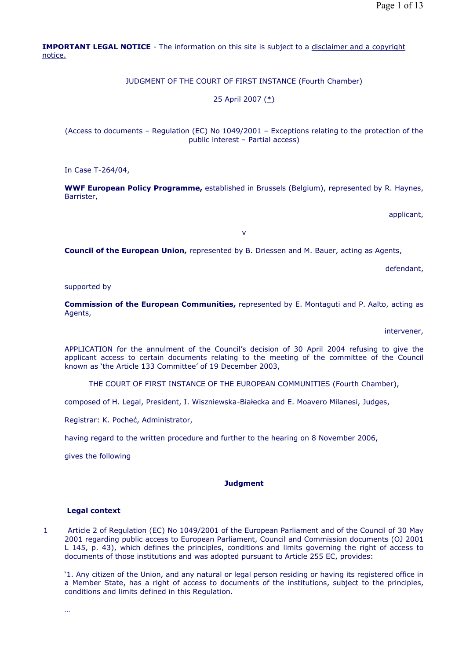**IMPORTANT LEGAL NOTICE** - The information on this site is subject to a disclaimer and a copyright notice.

JUDGMENT OF THE COURT OF FIRST INSTANCE (Fourth Chamber)

25 April 2007 (\*)

(Access to documents – Regulation (EC) No 1049/2001 – Exceptions relating to the protection of the public interest – Partial access)

In Case T-264/04,

**WWF European Policy Programme,** established in Brussels (Belgium), represented by R. Haynes, Barrister,

applicant,

v

**Council of the European Union,** represented by B. Driessen and M. Bauer, acting as Agents,

defendant,

supported by

**Commission of the European Communities,** represented by E. Montaguti and P. Aalto, acting as Agents,

intervener,

APPLICATION for the annulment of the Council's decision of 30 April 2004 refusing to give the applicant access to certain documents relating to the meeting of the committee of the Council known as 'the Article 133 Committee' of 19 December 2003,

THE COURT OF FIRST INSTANCE OF THE EUROPEAN COMMUNITIES (Fourth Chamber),

composed of H. Legal, President, I. Wiszniewska-Białecka and E. Moavero Milanesi, Judges,

Registrar: K. Pocheć, Administrator,

having regard to the written procedure and further to the hearing on 8 November 2006,

gives the following

## **Judgment**

### **Legal context**

1 Article 2 of Regulation (EC) No 1049/2001 of the European Parliament and of the Council of 30 May 2001 regarding public access to European Parliament, Council and Commission documents (OJ 2001 L 145, p. 43), which defines the principles, conditions and limits governing the right of access to documents of those institutions and was adopted pursuant to Article 255 EC, provides:

'1. Any citizen of the Union, and any natural or legal person residing or having its registered office in a Member State, has a right of access to documents of the institutions, subject to the principles, conditions and limits defined in this Regulation.

…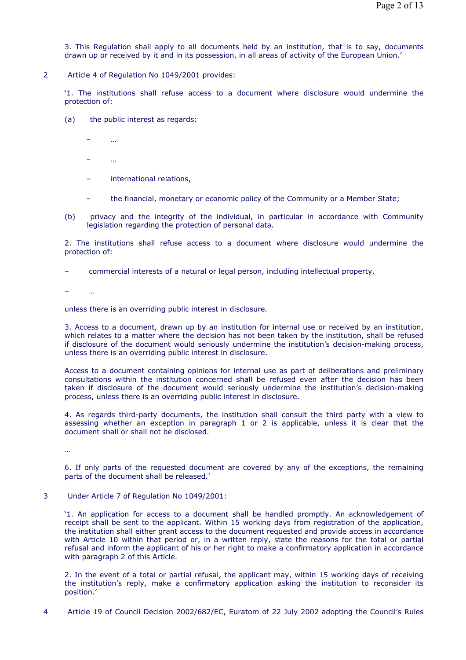3. This Regulation shall apply to all documents held by an institution, that is to say, documents drawn up or received by it and in its possession, in all areas of activity of the European Union.'

2 Article 4 of Regulation No 1049/2001 provides:

'1. The institutions shall refuse access to a document where disclosure would undermine the protection of:

- (a) the public interest as regards:
	- …
	- …
	- international relations,
	- the financial, monetary or economic policy of the Community or a Member State;
- (b) privacy and the integrity of the individual, in particular in accordance with Community legislation regarding the protection of personal data.

2. The institutions shall refuse access to a document where disclosure would undermine the protection of:

– commercial interests of a natural or legal person, including intellectual property,

 $\sim$ 

unless there is an overriding public interest in disclosure.

3. Access to a document, drawn up by an institution for internal use or received by an institution, which relates to a matter where the decision has not been taken by the institution, shall be refused if disclosure of the document would seriously undermine the institution's decision-making process, unless there is an overriding public interest in disclosure.

Access to a document containing opinions for internal use as part of deliberations and preliminary consultations within the institution concerned shall be refused even after the decision has been taken if disclosure of the document would seriously undermine the institution's decision-making process, unless there is an overriding public interest in disclosure.

4. As regards third-party documents, the institution shall consult the third party with a view to assessing whether an exception in paragraph 1 or 2 is applicable, unless it is clear that the document shall or shall not be disclosed.

…

6. If only parts of the requested document are covered by any of the exceptions, the remaining parts of the document shall be released.'

3 Under Article 7 of Regulation No 1049/2001:

'1. An application for access to a document shall be handled promptly. An acknowledgement of receipt shall be sent to the applicant. Within 15 working days from registration of the application, the institution shall either grant access to the document requested and provide access in accordance with Article 10 within that period or, in a written reply, state the reasons for the total or partial refusal and inform the applicant of his or her right to make a confirmatory application in accordance with paragraph 2 of this Article.

2. In the event of a total or partial refusal, the applicant may, within 15 working days of receiving the institution's reply, make a confirmatory application asking the institution to reconsider its position.'

4 Article 19 of Council Decision 2002/682/EC, Euratom of 22 July 2002 adopting the Council's Rules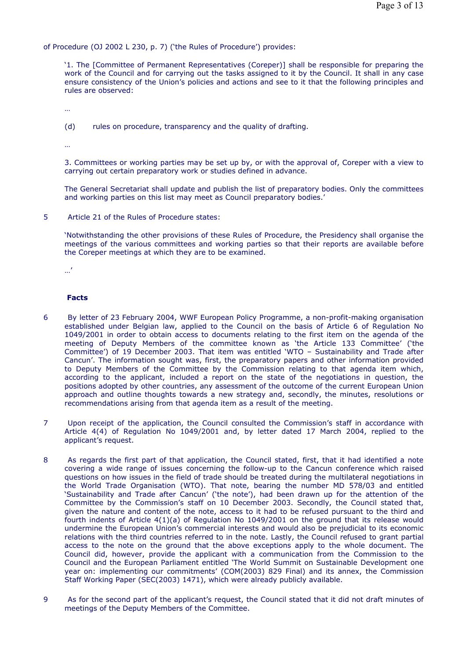of Procedure (OJ 2002 L 230, p. 7) ('the Rules of Procedure') provides:

'1. The [Committee of Permanent Representatives (Coreper)] shall be responsible for preparing the work of the Council and for carrying out the tasks assigned to it by the Council. It shall in any case ensure consistency of the Union's policies and actions and see to it that the following principles and rules are observed:

…

(d) rules on procedure, transparency and the quality of drafting.

…

3. Committees or working parties may be set up by, or with the approval of, Coreper with a view to carrying out certain preparatory work or studies defined in advance.

The General Secretariat shall update and publish the list of preparatory bodies. Only the committees and working parties on this list may meet as Council preparatory bodies.'

5 Article 21 of the Rules of Procedure states:

'Notwithstanding the other provisions of these Rules of Procedure, the Presidency shall organise the meetings of the various committees and working parties so that their reports are available before the Coreper meetings at which they are to be examined.

…'

# **Facts**

- 6 By letter of 23 February 2004, WWF European Policy Programme, a non-profit-making organisation established under Belgian law, applied to the Council on the basis of Article 6 of Regulation No 1049/2001 in order to obtain access to documents relating to the first item on the agenda of the meeting of Deputy Members of the committee known as 'the Article 133 Committee' ('the Committee') of 19 December 2003. That item was entitled 'WTO – Sustainability and Trade after Cancun'. The information sought was, first, the preparatory papers and other information provided to Deputy Members of the Committee by the Commission relating to that agenda item which, according to the applicant, included a report on the state of the negotiations in question, the positions adopted by other countries, any assessment of the outcome of the current European Union approach and outline thoughts towards a new strategy and, secondly, the minutes, resolutions or recommendations arising from that agenda item as a result of the meeting.
- 7 Upon receipt of the application, the Council consulted the Commission's staff in accordance with Article 4(4) of Regulation No 1049/2001 and, by letter dated 17 March 2004, replied to the applicant's request.
- 8 As regards the first part of that application, the Council stated, first, that it had identified a note covering a wide range of issues concerning the follow-up to the Cancun conference which raised questions on how issues in the field of trade should be treated during the multilateral negotiations in the World Trade Organisation (WTO). That note, bearing the number MD 578/03 and entitled 'Sustainability and Trade after Cancun' ('the note'), had been drawn up for the attention of the Committee by the Commission's staff on 10 December 2003. Secondly, the Council stated that, given the nature and content of the note, access to it had to be refused pursuant to the third and fourth indents of Article 4(1)(a) of Regulation No 1049/2001 on the ground that its release would undermine the European Union's commercial interests and would also be prejudicial to its economic relations with the third countries referred to in the note. Lastly, the Council refused to grant partial access to the note on the ground that the above exceptions apply to the whole document. The Council did, however, provide the applicant with a communication from the Commission to the Council and the European Parliament entitled 'The World Summit on Sustainable Development one year on: implementing our commitments' (COM(2003) 829 Final) and its annex, the Commission Staff Working Paper (SEC(2003) 1471), which were already publicly available.
- 9 As for the second part of the applicant's request, the Council stated that it did not draft minutes of meetings of the Deputy Members of the Committee.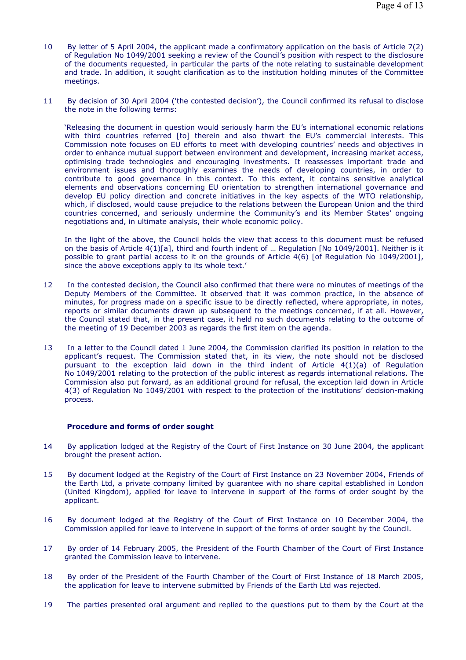- 10 By letter of 5 April 2004, the applicant made a confirmatory application on the basis of Article 7(2) of Regulation No 1049/2001 seeking a review of the Council's position with respect to the disclosure of the documents requested, in particular the parts of the note relating to sustainable development and trade. In addition, it sought clarification as to the institution holding minutes of the Committee meetings.
- 11 By decision of 30 April 2004 ('the contested decision'), the Council confirmed its refusal to disclose the note in the following terms:

'Releasing the document in question would seriously harm the EU's international economic relations with third countries referred [to] therein and also thwart the EU's commercial interests. This Commission note focuses on EU efforts to meet with developing countries' needs and objectives in order to enhance mutual support between environment and development, increasing market access, optimising trade technologies and encouraging investments. It reassesses important trade and environment issues and thoroughly examines the needs of developing countries, in order to contribute to good governance in this context. To this extent, it contains sensitive analytical elements and observations concerning EU orientation to strengthen international governance and develop EU policy direction and concrete initiatives in the key aspects of the WTO relationship, which, if disclosed, would cause prejudice to the relations between the European Union and the third countries concerned, and seriously undermine the Community's and its Member States' ongoing negotiations and, in ultimate analysis, their whole economic policy.

In the light of the above, the Council holds the view that access to this document must be refused on the basis of Article 4(1)[a], third and fourth indent of … Regulation [No 1049/2001]. Neither is it possible to grant partial access to it on the grounds of Article 4(6) [of Regulation No 1049/2001], since the above exceptions apply to its whole text.'

- 12 In the contested decision, the Council also confirmed that there were no minutes of meetings of the Deputy Members of the Committee. It observed that it was common practice, in the absence of minutes, for progress made on a specific issue to be directly reflected, where appropriate, in notes, reports or similar documents drawn up subsequent to the meetings concerned, if at all. However, the Council stated that, in the present case, it held no such documents relating to the outcome of the meeting of 19 December 2003 as regards the first item on the agenda.
- 13 In a letter to the Council dated 1 June 2004, the Commission clarified its position in relation to the applicant's request. The Commission stated that, in its view, the note should not be disclosed pursuant to the exception laid down in the third indent of Article 4(1)(a) of Regulation No 1049/2001 relating to the protection of the public interest as regards international relations. The Commission also put forward, as an additional ground for refusal, the exception laid down in Article 4(3) of Regulation No 1049/2001 with respect to the protection of the institutions' decision-making process.

#### **Procedure and forms of order sought**

- 14 By application lodged at the Registry of the Court of First Instance on 30 June 2004, the applicant brought the present action.
- 15 By document lodged at the Registry of the Court of First Instance on 23 November 2004, Friends of the Earth Ltd, a private company limited by guarantee with no share capital established in London (United Kingdom), applied for leave to intervene in support of the forms of order sought by the applicant.
- 16 By document lodged at the Registry of the Court of First Instance on 10 December 2004, the Commission applied for leave to intervene in support of the forms of order sought by the Council.
- 17 By order of 14 February 2005, the President of the Fourth Chamber of the Court of First Instance granted the Commission leave to intervene.
- 18 By order of the President of the Fourth Chamber of the Court of First Instance of 18 March 2005, the application for leave to intervene submitted by Friends of the Earth Ltd was rejected.
- 19 The parties presented oral argument and replied to the questions put to them by the Court at the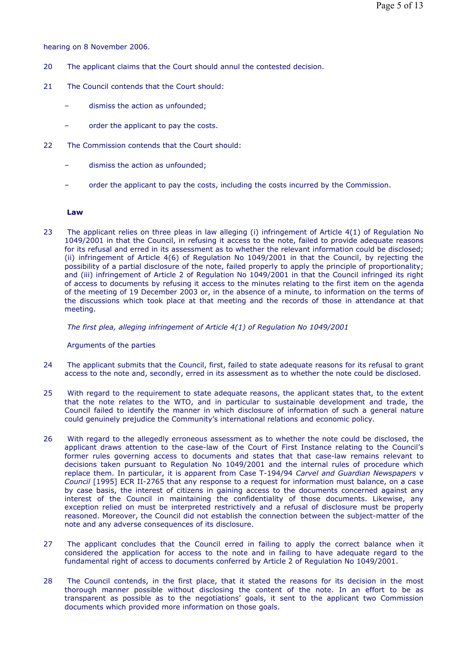hearing on 8 November 2006.

- 20 The applicant claims that the Court should annul the contested decision.
- 21 The Council contends that the Court should:
	- dismiss the action as unfounded;
	- order the applicant to pay the costs.
- 22 The Commission contends that the Court should:
	- dismiss the action as unfounded;
	- order the applicant to pay the costs, including the costs incurred by the Commission.

#### **Law**

23 The applicant relies on three pleas in law alleging (i) infringement of Article 4(1) of Regulation No 1049/2001 in that the Council, in refusing it access to the note, failed to provide adequate reasons for its refusal and erred in its assessment as to whether the relevant information could be disclosed; (ii) infringement of Article 4(6) of Regulation No 1049/2001 in that the Council, by rejecting the possibility of a partial disclosure of the note, failed properly to apply the principle of proportionality; and (iii) infringement of Article 2 of Regulation No 1049/2001 in that the Council infringed its right of access to documents by refusing it access to the minutes relating to the first item on the agenda of the meeting of 19 December 2003 or, in the absence of a minute, to information on the terms of the discussions which took place at that meeting and the records of those in attendance at that meeting.

 *The first plea, alleging infringement of Article 4(1) of Regulation No 1049/2001* 

#### Arguments of the parties

- 24 The applicant submits that the Council, first, failed to state adequate reasons for its refusal to grant access to the note and, secondly, erred in its assessment as to whether the note could be disclosed.
- 25 With regard to the requirement to state adequate reasons, the applicant states that, to the extent that the note relates to the WTO, and in particular to sustainable development and trade, the Council failed to identify the manner in which disclosure of information of such a general nature could genuinely prejudice the Community's international relations and economic policy.
- 26 With regard to the allegedly erroneous assessment as to whether the note could be disclosed, the applicant draws attention to the case-law of the Court of First Instance relating to the Council's former rules governing access to documents and states that that case-law remains relevant to decisions taken pursuant to Regulation No 1049/2001 and the internal rules of procedure which replace them. In particular, it is apparent from Case T-194/94 *Carvel and Guardian Newspapers* v *Council* [1995] ECR II-2765 that any response to a request for information must balance, on a case by case basis, the interest of citizens in gaining access to the documents concerned against any interest of the Council in maintaining the confidentiality of those documents. Likewise, any exception relied on must be interpreted restrictively and a refusal of disclosure must be properly reasoned. Moreover, the Council did not establish the connection between the subject-matter of the note and any adverse consequences of its disclosure.
- 27 The applicant concludes that the Council erred in failing to apply the correct balance when it considered the application for access to the note and in failing to have adequate regard to the fundamental right of access to documents conferred by Article 2 of Regulation No 1049/2001.
- 28 The Council contends, in the first place, that it stated the reasons for its decision in the most thorough manner possible without disclosing the content of the note. In an effort to be as transparent as possible as to the negotiations' goals, it sent to the applicant two Commission documents which provided more information on those goals.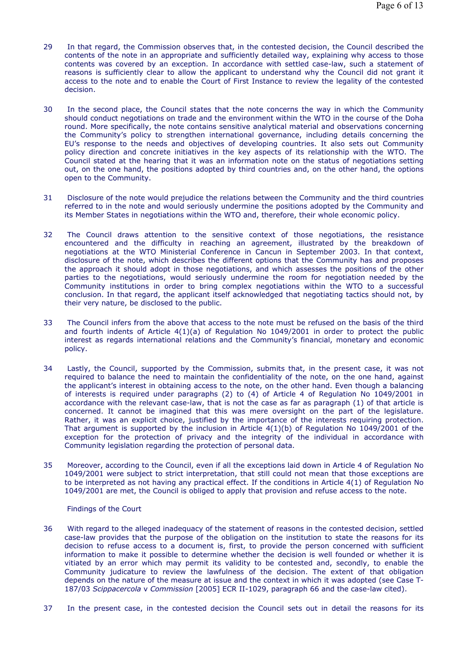- 29 In that regard, the Commission observes that, in the contested decision, the Council described the contents of the note in an appropriate and sufficiently detailed way, explaining why access to those contents was covered by an exception. In accordance with settled case-law, such a statement of reasons is sufficiently clear to allow the applicant to understand why the Council did not grant it access to the note and to enable the Court of First Instance to review the legality of the contested decision.
- 30 In the second place, the Council states that the note concerns the way in which the Community should conduct negotiations on trade and the environment within the WTO in the course of the Doha round. More specifically, the note contains sensitive analytical material and observations concerning the Community's policy to strengthen international governance, including details concerning the EU's response to the needs and objectives of developing countries. It also sets out Community policy direction and concrete initiatives in the key aspects of its relationship with the WTO. The Council stated at the hearing that it was an information note on the status of negotiations setting out, on the one hand, the positions adopted by third countries and, on the other hand, the options open to the Community.
- 31 Disclosure of the note would prejudice the relations between the Community and the third countries referred to in the note and would seriously undermine the positions adopted by the Community and its Member States in negotiations within the WTO and, therefore, their whole economic policy.
- 32 The Council draws attention to the sensitive context of those negotiations, the resistance encountered and the difficulty in reaching an agreement, illustrated by the breakdown of negotiations at the WTO Ministerial Conference in Cancun in September 2003. In that context, disclosure of the note, which describes the different options that the Community has and proposes the approach it should adopt in those negotiations, and which assesses the positions of the other parties to the negotiations, would seriously undermine the room for negotiation needed by the Community institutions in order to bring complex negotiations within the WTO to a successful conclusion. In that regard, the applicant itself acknowledged that negotiating tactics should not, by their very nature, be disclosed to the public.
- 33 The Council infers from the above that access to the note must be refused on the basis of the third and fourth indents of Article 4(1)(a) of Regulation No 1049/2001 in order to protect the public interest as regards international relations and the Community's financial, monetary and economic policy.
- 34 Lastly, the Council, supported by the Commission, submits that, in the present case, it was not required to balance the need to maintain the confidentiality of the note, on the one hand, against the applicant's interest in obtaining access to the note, on the other hand. Even though a balancing of interests is required under paragraphs (2) to (4) of Article 4 of Regulation No 1049/2001 in accordance with the relevant case-law, that is not the case as far as paragraph (1) of that article is concerned. It cannot be imagined that this was mere oversight on the part of the legislature. Rather, it was an explicit choice, justified by the importance of the interests requiring protection. That argument is supported by the inclusion in Article  $4(1)(b)$  of Regulation No 1049/2001 of the exception for the protection of privacy and the integrity of the individual in accordance with Community legislation regarding the protection of personal data.
- 35 Moreover, according to the Council, even if all the exceptions laid down in Article 4 of Regulation No 1049/2001 were subject to strict interpretation, that still could not mean that those exceptions are to be interpreted as not having any practical effect. If the conditions in Article 4(1) of Regulation No 1049/2001 are met, the Council is obliged to apply that provision and refuse access to the note.

Findings of the Court

- 36 With regard to the alleged inadequacy of the statement of reasons in the contested decision, settled case-law provides that the purpose of the obligation on the institution to state the reasons for its decision to refuse access to a document is, first, to provide the person concerned with sufficient information to make it possible to determine whether the decision is well founded or whether it is vitiated by an error which may permit its validity to be contested and, secondly, to enable the Community judicature to review the lawfulness of the decision. The extent of that obligation depends on the nature of the measure at issue and the context in which it was adopted (see Case T-187/03 *Scippacercola* v *Commission* [2005] ECR II-1029, paragraph 66 and the case-law cited).
- 37 In the present case, in the contested decision the Council sets out in detail the reasons for its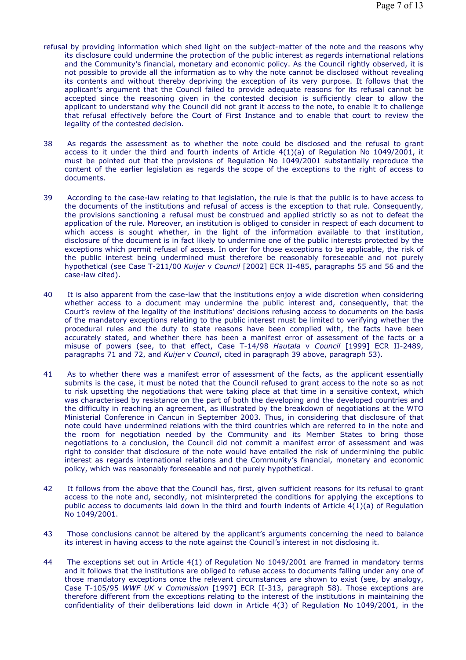- refusal by providing information which shed light on the subject-matter of the note and the reasons why its disclosure could undermine the protection of the public interest as regards international relations and the Community's financial, monetary and economic policy. As the Council rightly observed, it is not possible to provide all the information as to why the note cannot be disclosed without revealing its contents and without thereby depriving the exception of its very purpose. It follows that the applicant's argument that the Council failed to provide adequate reasons for its refusal cannot be accepted since the reasoning given in the contested decision is sufficiently clear to allow the applicant to understand why the Council did not grant it access to the note, to enable it to challenge that refusal effectively before the Court of First Instance and to enable that court to review the legality of the contested decision.
- 38 As regards the assessment as to whether the note could be disclosed and the refusal to grant access to it under the third and fourth indents of Article 4(1)(a) of Regulation No 1049/2001, it must be pointed out that the provisions of Regulation No 1049/2001 substantially reproduce the content of the earlier legislation as regards the scope of the exceptions to the right of access to documents.
- 39 According to the case-law relating to that legislation, the rule is that the public is to have access to the documents of the institutions and refusal of access is the exception to that rule. Consequently, the provisions sanctioning a refusal must be construed and applied strictly so as not to defeat the application of the rule. Moreover, an institution is obliged to consider in respect of each document to which access is sought whether, in the light of the information available to that institution, disclosure of the document is in fact likely to undermine one of the public interests protected by the exceptions which permit refusal of access. In order for those exceptions to be applicable, the risk of the public interest being undermined must therefore be reasonably foreseeable and not purely hypothetical (see Case T-211/00 *Kuijer* v *Council* [2002] ECR II-485, paragraphs 55 and 56 and the case-law cited).
- 40 It is also apparent from the case-law that the institutions enjoy a wide discretion when considering whether access to a document may undermine the public interest and, consequently, that the Court's review of the legality of the institutions' decisions refusing access to documents on the basis of the mandatory exceptions relating to the public interest must be limited to verifying whether the procedural rules and the duty to state reasons have been complied with, the facts have been accurately stated, and whether there has been a manifest error of assessment of the facts or a misuse of powers (see, to that effect, Case T-14/98 *Hautala* v *Council* [1999] ECR II-2489, paragraphs 71 and 72, and *Kuijer* v *Council*, cited in paragraph 39 above, paragraph 53).
- 41 As to whether there was a manifest error of assessment of the facts, as the applicant essentially submits is the case, it must be noted that the Council refused to grant access to the note so as not to risk upsetting the negotiations that were taking place at that time in a sensitive context, which was characterised by resistance on the part of both the developing and the developed countries and the difficulty in reaching an agreement, as illustrated by the breakdown of negotiations at the WTO Ministerial Conference in Cancun in September 2003. Thus, in considering that disclosure of that note could have undermined relations with the third countries which are referred to in the note and the room for negotiation needed by the Community and its Member States to bring those negotiations to a conclusion, the Council did not commit a manifest error of assessment and was right to consider that disclosure of the note would have entailed the risk of undermining the public interest as regards international relations and the Community's financial, monetary and economic policy, which was reasonably foreseeable and not purely hypothetical.
- 42 It follows from the above that the Council has, first, given sufficient reasons for its refusal to grant access to the note and, secondly, not misinterpreted the conditions for applying the exceptions to public access to documents laid down in the third and fourth indents of Article 4(1)(a) of Regulation No 1049/2001.
- 43 Those conclusions cannot be altered by the applicant's arguments concerning the need to balance its interest in having access to the note against the Council's interest in not disclosing it.
- 44 The exceptions set out in Article 4(1) of Regulation No 1049/2001 are framed in mandatory terms and it follows that the institutions are obliged to refuse access to documents falling under any one of those mandatory exceptions once the relevant circumstances are shown to exist (see, by analogy, Case T-105/95 *WWF UK* v *Commission* [1997] ECR II-313, paragraph 58). Those exceptions are therefore different from the exceptions relating to the interest of the institutions in maintaining the confidentiality of their deliberations laid down in Article 4(3) of Regulation No 1049/2001, in the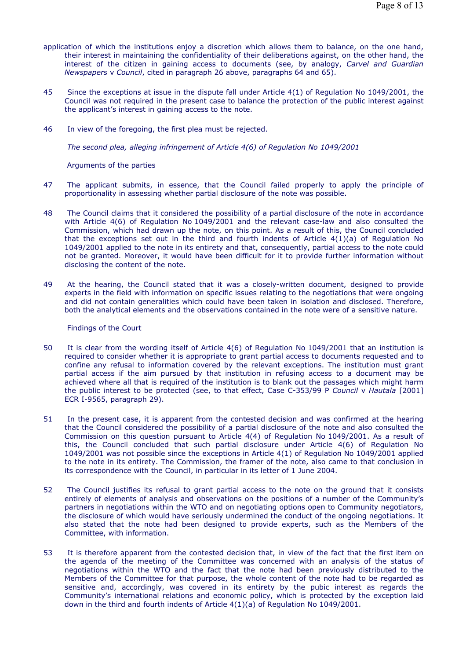- application of which the institutions enjoy a discretion which allows them to balance, on the one hand, their interest in maintaining the confidentiality of their deliberations against, on the other hand, the interest of the citizen in gaining access to documents (see, by analogy, *Carvel and Guardian Newspapers* v *Council*, cited in paragraph 26 above, paragraphs 64 and 65).
- 45 Since the exceptions at issue in the dispute fall under Article 4(1) of Regulation No 1049/2001, the Council was not required in the present case to balance the protection of the public interest against the applicant's interest in gaining access to the note.
- 46 In view of the foregoing, the first plea must be rejected.

 *The second plea, alleging infringement of Article 4(6) of Regulation No 1049/2001* 

Arguments of the parties

- 47 The applicant submits, in essence, that the Council failed properly to apply the principle of proportionality in assessing whether partial disclosure of the note was possible.
- 48 The Council claims that it considered the possibility of a partial disclosure of the note in accordance with Article 4(6) of Regulation No 1049/2001 and the relevant case-law and also consulted the Commission, which had drawn up the note, on this point. As a result of this, the Council concluded that the exceptions set out in the third and fourth indents of Article  $4(1)(a)$  of Regulation No 1049/2001 applied to the note in its entirety and that, consequently, partial access to the note could not be granted. Moreover, it would have been difficult for it to provide further information without disclosing the content of the note.
- 49 At the hearing, the Council stated that it was a closely-written document, designed to provide experts in the field with information on specific issues relating to the negotiations that were ongoing and did not contain generalities which could have been taken in isolation and disclosed. Therefore, both the analytical elements and the observations contained in the note were of a sensitive nature.

Findings of the Court

- 50 It is clear from the wording itself of Article 4(6) of Regulation No 1049/2001 that an institution is required to consider whether it is appropriate to grant partial access to documents requested and to confine any refusal to information covered by the relevant exceptions. The institution must grant partial access if the aim pursued by that institution in refusing access to a document may be achieved where all that is required of the institution is to blank out the passages which might harm the public interest to be protected (see, to that effect, Case C-353/99 P *Council* v *Hautala* [2001] ECR I-9565, paragraph 29).
- 51 In the present case, it is apparent from the contested decision and was confirmed at the hearing that the Council considered the possibility of a partial disclosure of the note and also consulted the Commission on this question pursuant to Article 4(4) of Regulation No 1049/2001. As a result of this, the Council concluded that such partial disclosure under Article 4(6) of Regulation No 1049/2001 was not possible since the exceptions in Article 4(1) of Regulation No 1049/2001 applied to the note in its entirety. The Commission, the framer of the note, also came to that conclusion in its correspondence with the Council, in particular in its letter of 1 June 2004.
- 52 The Council justifies its refusal to grant partial access to the note on the ground that it consists entirely of elements of analysis and observations on the positions of a number of the Community's partners in negotiations within the WTO and on negotiating options open to Community negotiators, the disclosure of which would have seriously undermined the conduct of the ongoing negotiations. It also stated that the note had been designed to provide experts, such as the Members of the Committee, with information.
- 53 It is therefore apparent from the contested decision that, in view of the fact that the first item on the agenda of the meeting of the Committee was concerned with an analysis of the status of negotiations within the WTO and the fact that the note had been previously distributed to the Members of the Committee for that purpose, the whole content of the note had to be regarded as sensitive and, accordingly, was covered in its entirety by the pubic interest as regards the Community's international relations and economic policy, which is protected by the exception laid down in the third and fourth indents of Article 4(1)(a) of Regulation No 1049/2001.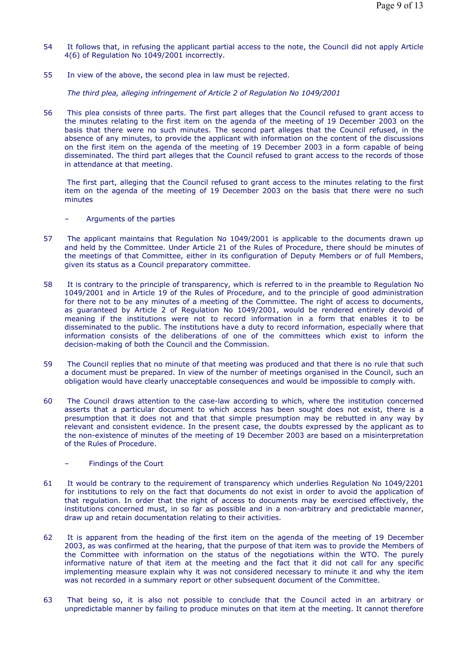- 54 It follows that, in refusing the applicant partial access to the note, the Council did not apply Article 4(6) of Regulation No 1049/2001 incorrectly.
- 55 In view of the above, the second plea in law must be rejected.

 *The third plea, alleging infringement of Article 2 of Regulation No 1049/2001* 

56 This plea consists of three parts. The first part alleges that the Council refused to grant access to the minutes relating to the first item on the agenda of the meeting of 19 December 2003 on the basis that there were no such minutes. The second part alleges that the Council refused, in the absence of any minutes, to provide the applicant with information on the content of the discussions on the first item on the agenda of the meeting of 19 December 2003 in a form capable of being disseminated. The third part alleges that the Council refused to grant access to the records of those in attendance at that meeting.

 The first part, alleging that the Council refused to grant access to the minutes relating to the first item on the agenda of the meeting of 19 December 2003 on the basis that there were no such minutes

- Arguments of the parties
- 57 The applicant maintains that Regulation No 1049/2001 is applicable to the documents drawn up and held by the Committee. Under Article 21 of the Rules of Procedure, there should be minutes of the meetings of that Committee, either in its configuration of Deputy Members or of full Members, given its status as a Council preparatory committee.
- 58 It is contrary to the principle of transparency, which is referred to in the preamble to Regulation No 1049/2001 and in Article 19 of the Rules of Procedure, and to the principle of good administration for there not to be any minutes of a meeting of the Committee. The right of access to documents, as guaranteed by Article 2 of Regulation No 1049/2001, would be rendered entirely devoid of meaning if the institutions were not to record information in a form that enables it to be disseminated to the public. The institutions have a duty to record information, especially where that information consists of the deliberations of one of the committees which exist to inform the decision-making of both the Council and the Commission.
- 59 The Council replies that no minute of that meeting was produced and that there is no rule that such a document must be prepared. In view of the number of meetings organised in the Council, such an obligation would have clearly unacceptable consequences and would be impossible to comply with.
- 60 The Council draws attention to the case-law according to which, where the institution concerned asserts that a particular document to which access has been sought does not exist, there is a presumption that it does not and that that simple presumption may be rebutted in any way by relevant and consistent evidence. In the present case, the doubts expressed by the applicant as to the non-existence of minutes of the meeting of 19 December 2003 are based on a misinterpretation of the Rules of Procedure.
	- Findings of the Court
- 61 It would be contrary to the requirement of transparency which underlies Regulation No 1049/2201 for institutions to rely on the fact that documents do not exist in order to avoid the application of that regulation. In order that the right of access to documents may be exercised effectively, the institutions concerned must, in so far as possible and in a non-arbitrary and predictable manner, draw up and retain documentation relating to their activities.
- 62 It is apparent from the heading of the first item on the agenda of the meeting of 19 December 2003, as was confirmed at the hearing, that the purpose of that item was to provide the Members of the Committee with information on the status of the negotiations within the WTO. The purely informative nature of that item at the meeting and the fact that it did not call for any specific implementing measure explain why it was not considered necessary to minute it and why the item was not recorded in a summary report or other subsequent document of the Committee.
- 63 That being so, it is also not possible to conclude that the Council acted in an arbitrary or unpredictable manner by failing to produce minutes on that item at the meeting. It cannot therefore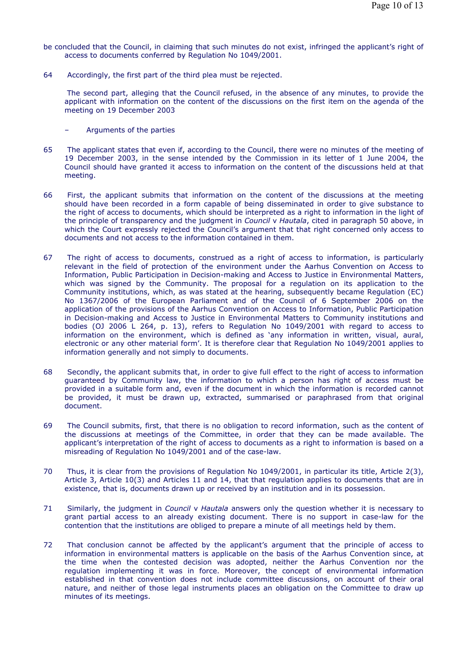- be concluded that the Council, in claiming that such minutes do not exist, infringed the applicant's right of access to documents conferred by Regulation No 1049/2001.
- 64 Accordingly, the first part of the third plea must be rejected.

 The second part, alleging that the Council refused, in the absence of any minutes, to provide the applicant with information on the content of the discussions on the first item on the agenda of the meeting on 19 December 2003

- Arguments of the parties
- 65 The applicant states that even if, according to the Council, there were no minutes of the meeting of 19 December 2003, in the sense intended by the Commission in its letter of 1 June 2004, the Council should have granted it access to information on the content of the discussions held at that meeting.
- 66 First, the applicant submits that information on the content of the discussions at the meeting should have been recorded in a form capable of being disseminated in order to give substance to the right of access to documents, which should be interpreted as a right to information in the light of the principle of transparency and the judgment in *Council* v *Hautala*, cited in paragraph 50 above, in which the Court expressly rejected the Council's argument that that right concerned only access to documents and not access to the information contained in them.
- 67 The right of access to documents, construed as a right of access to information, is particularly relevant in the field of protection of the environment under the Aarhus Convention on Access to Information, Public Participation in Decision-making and Access to Justice in Environmental Matters, which was signed by the Community. The proposal for a regulation on its application to the Community institutions, which, as was stated at the hearing, subsequently became Regulation (EC) No 1367/2006 of the European Parliament and of the Council of 6 September 2006 on the application of the provisions of the Aarhus Convention on Access to Information, Public Participation in Decision-making and Access to Justice in Environmental Matters to Community institutions and bodies (OJ 2006 L 264, p. 13), refers to Regulation No 1049/2001 with regard to access to information on the environment, which is defined as 'any information in written, visual, aural, electronic or any other material form'. It is therefore clear that Regulation No 1049/2001 applies to information generally and not simply to documents.
- 68 Secondly, the applicant submits that, in order to give full effect to the right of access to information guaranteed by Community law, the information to which a person has right of access must be provided in a suitable form and, even if the document in which the information is recorded cannot be provided, it must be drawn up, extracted, summarised or paraphrased from that original document.
- 69 The Council submits, first, that there is no obligation to record information, such as the content of the discussions at meetings of the Committee, in order that they can be made available. The applicant's interpretation of the right of access to documents as a right to information is based on a misreading of Regulation No 1049/2001 and of the case-law.
- 70 Thus, it is clear from the provisions of Regulation No 1049/2001, in particular its title, Article 2(3), Article 3, Article 10(3) and Articles 11 and 14, that that regulation applies to documents that are in existence, that is, documents drawn up or received by an institution and in its possession.
- 71 Similarly, the judgment in *Council* v *Hautala* answers only the question whether it is necessary to grant partial access to an already existing document. There is no support in case-law for the contention that the institutions are obliged to prepare a minute of all meetings held by them.
- 72 That conclusion cannot be affected by the applicant's argument that the principle of access to information in environmental matters is applicable on the basis of the Aarhus Convention since, at the time when the contested decision was adopted, neither the Aarhus Convention nor the regulation implementing it was in force. Moreover, the concept of environmental information established in that convention does not include committee discussions, on account of their oral nature, and neither of those legal instruments places an obligation on the Committee to draw up minutes of its meetings.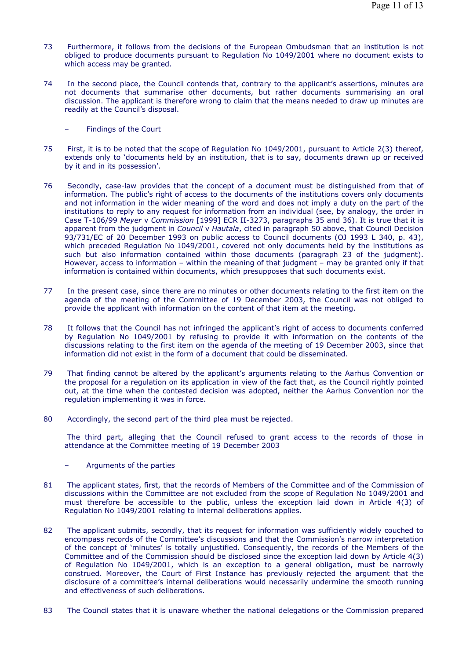- 73 Furthermore, it follows from the decisions of the European Ombudsman that an institution is not obliged to produce documents pursuant to Regulation No 1049/2001 where no document exists to which access may be granted.
- 74 In the second place, the Council contends that, contrary to the applicant's assertions, minutes are not documents that summarise other documents, but rather documents summarising an oral discussion. The applicant is therefore wrong to claim that the means needed to draw up minutes are readily at the Council's disposal.
	- Findings of the Court
- 75 First, it is to be noted that the scope of Regulation No 1049/2001, pursuant to Article 2(3) thereof, extends only to 'documents held by an institution, that is to say, documents drawn up or received by it and in its possession'.
- 76 Secondly, case-law provides that the concept of a document must be distinguished from that of information. The public's right of access to the documents of the institutions covers only documents and not information in the wider meaning of the word and does not imply a duty on the part of the institutions to reply to any request for information from an individual (see, by analogy, the order in Case T-106/99 *Meyer* v *Commission* [1999] ECR II-3273, paragraphs 35 and 36). It is true that it is apparent from the judgment in *Council* v *Hautala*, cited in paragraph 50 above, that Council Decision 93/731/EC of 20 December 1993 on public access to Council documents (OJ 1993 L 340, p. 43), which preceded Regulation No 1049/2001, covered not only documents held by the institutions as such but also information contained within those documents (paragraph 23 of the judgment). However, access to information – within the meaning of that judgment – may be granted only if that information is contained within documents, which presupposes that such documents exist.
- 77 In the present case, since there are no minutes or other documents relating to the first item on the agenda of the meeting of the Committee of 19 December 2003, the Council was not obliged to provide the applicant with information on the content of that item at the meeting.
- 78 It follows that the Council has not infringed the applicant's right of access to documents conferred by Regulation No 1049/2001 by refusing to provide it with information on the contents of the discussions relating to the first item on the agenda of the meeting of 19 December 2003, since that information did not exist in the form of a document that could be disseminated.
- 79 That finding cannot be altered by the applicant's arguments relating to the Aarhus Convention or the proposal for a regulation on its application in view of the fact that, as the Council rightly pointed out, at the time when the contested decision was adopted, neither the Aarhus Convention nor the regulation implementing it was in force.
- 80 Accordingly, the second part of the third plea must be rejected.

 The third part, alleging that the Council refused to grant access to the records of those in attendance at the Committee meeting of 19 December 2003

- Arguments of the parties
- 81 The applicant states, first, that the records of Members of the Committee and of the Commission of discussions within the Committee are not excluded from the scope of Regulation No 1049/2001 and must therefore be accessible to the public, unless the exception laid down in Article 4(3) of Regulation No 1049/2001 relating to internal deliberations applies.
- 82 The applicant submits, secondly, that its request for information was sufficiently widely couched to encompass records of the Committee's discussions and that the Commission's narrow interpretation of the concept of 'minutes' is totally unjustified. Consequently, the records of the Members of the Committee and of the Commission should be disclosed since the exception laid down by Article 4(3) of Regulation No 1049/2001, which is an exception to a general obligation, must be narrowly construed. Moreover, the Court of First Instance has previously rejected the argument that the disclosure of a committee's internal deliberations would necessarily undermine the smooth running and effectiveness of such deliberations.
- 83 The Council states that it is unaware whether the national delegations or the Commission prepared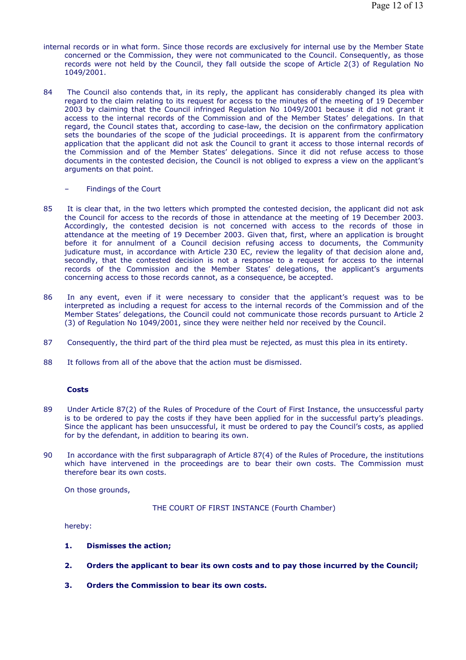- internal records or in what form. Since those records are exclusively for internal use by the Member State concerned or the Commission, they were not communicated to the Council. Consequently, as those records were not held by the Council, they fall outside the scope of Article 2(3) of Regulation No 1049/2001.
- 84 The Council also contends that, in its reply, the applicant has considerably changed its plea with regard to the claim relating to its request for access to the minutes of the meeting of 19 December 2003 by claiming that the Council infringed Regulation No 1049/2001 because it did not grant it access to the internal records of the Commission and of the Member States' delegations. In that regard, the Council states that, according to case-law, the decision on the confirmatory application sets the boundaries of the scope of the judicial proceedings. It is apparent from the confirmatory application that the applicant did not ask the Council to grant it access to those internal records of the Commission and of the Member States' delegations. Since it did not refuse access to those documents in the contested decision, the Council is not obliged to express a view on the applicant's arguments on that point.
	- Findings of the Court
- 85 It is clear that, in the two letters which prompted the contested decision, the applicant did not ask the Council for access to the records of those in attendance at the meeting of 19 December 2003. Accordingly, the contested decision is not concerned with access to the records of those in attendance at the meeting of 19 December 2003. Given that, first, where an application is brought before it for annulment of a Council decision refusing access to documents, the Community judicature must, in accordance with Article 230 EC, review the legality of that decision alone and, secondly, that the contested decision is not a response to a request for access to the internal records of the Commission and the Member States' delegations, the applicant's arguments concerning access to those records cannot, as a consequence, be accepted.
- 86 In any event, even if it were necessary to consider that the applicant's request was to be interpreted as including a request for access to the internal records of the Commission and of the Member States' delegations, the Council could not communicate those records pursuant to Article 2 (3) of Regulation No 1049/2001, since they were neither held nor received by the Council.
- 87 Consequently, the third part of the third plea must be rejected, as must this plea in its entirety.
- 88 It follows from all of the above that the action must be dismissed.

## **Costs**

- 89 Under Article 87(2) of the Rules of Procedure of the Court of First Instance, the unsuccessful party is to be ordered to pay the costs if they have been applied for in the successful party's pleadings. Since the applicant has been unsuccessful, it must be ordered to pay the Council's costs, as applied for by the defendant, in addition to bearing its own.
- 90 In accordance with the first subparagraph of Article 87(4) of the Rules of Procedure, the institutions which have intervened in the proceedings are to bear their own costs. The Commission must therefore bear its own costs.

On those grounds,

THE COURT OF FIRST INSTANCE (Fourth Chamber)

hereby:

- **1. Dismisses the action;**
- **2. Orders the applicant to bear its own costs and to pay those incurred by the Council;**
- **3. Orders the Commission to bear its own costs.**